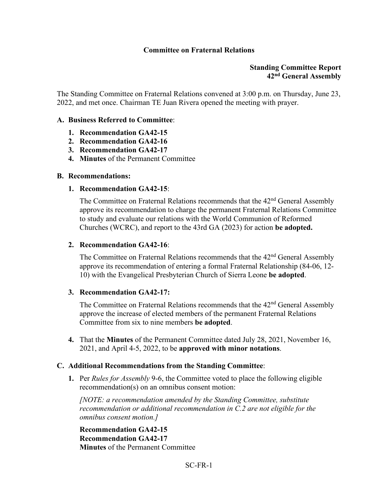## **Committee on Fraternal Relations**

## **Standing Committee Report 42nd General Assembly**

The Standing Committee on Fraternal Relations convened at 3:00 p.m. on Thursday, June 23, 2022, and met once. Chairman TE Juan Rivera opened the meeting with prayer.

## **A. Business Referred to Committee**:

- **1. Recommendation GA42-15**
- **2. Recommendation GA42-16**
- **3. Recommendation GA42-17**
- **4. Minutes** of the Permanent Committee

#### **B. Recommendations:**

#### **1. Recommendation GA42-15**:

The Committee on Fraternal Relations recommends that the 42<sup>nd</sup> General Assembly approve its recommendation to charge the permanent Fraternal Relations Committee to study and evaluate our relations with the World Communion of Reformed Churches (WCRC), and report to the 43rd GA (2023) for action **be adopted.** 

#### **2. Recommendation GA42-16**:

The Committee on Fraternal Relations recommends that the 42<sup>nd</sup> General Assembly approve its recommendation of entering a formal Fraternal Relationship (84-06, 12- 10) with the Evangelical Presbyterian Church of Sierra Leone **be adopted**.

## **3. Recommendation GA42-17:**

The Committee on Fraternal Relations recommends that the 42<sup>nd</sup> General Assembly approve the increase of elected members of the permanent Fraternal Relations Committee from six to nine members **be adopted**.

**4.** That the **Minutes** of the Permanent Committee dated July 28, 2021, November 16, 2021, and April 4-5, 2022, to be **approved with minor notations**.

## **C. Additional Recommendations from the Standing Committee**:

**1.** Per *Rules for Assembly* 9-6, the Committee voted to place the following eligible recommendation(s) on an omnibus consent motion:

*[NOTE: a recommendation amended by the Standing Committee, substitute recommendation or additional recommendation in C.2 are not eligible for the omnibus consent motion.]*

**Recommendation GA42-15 Recommendation GA42-17 Minutes** of the Permanent Committee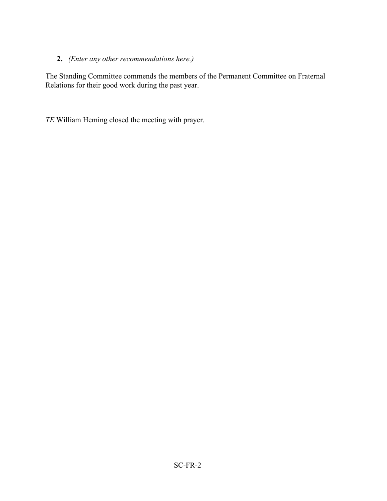# **2.** *(Enter any other recommendations here.)*

The Standing Committee commends the members of the Permanent Committee on Fraternal Relations for their good work during the past year.

*TE* William Heming closed the meeting with prayer.